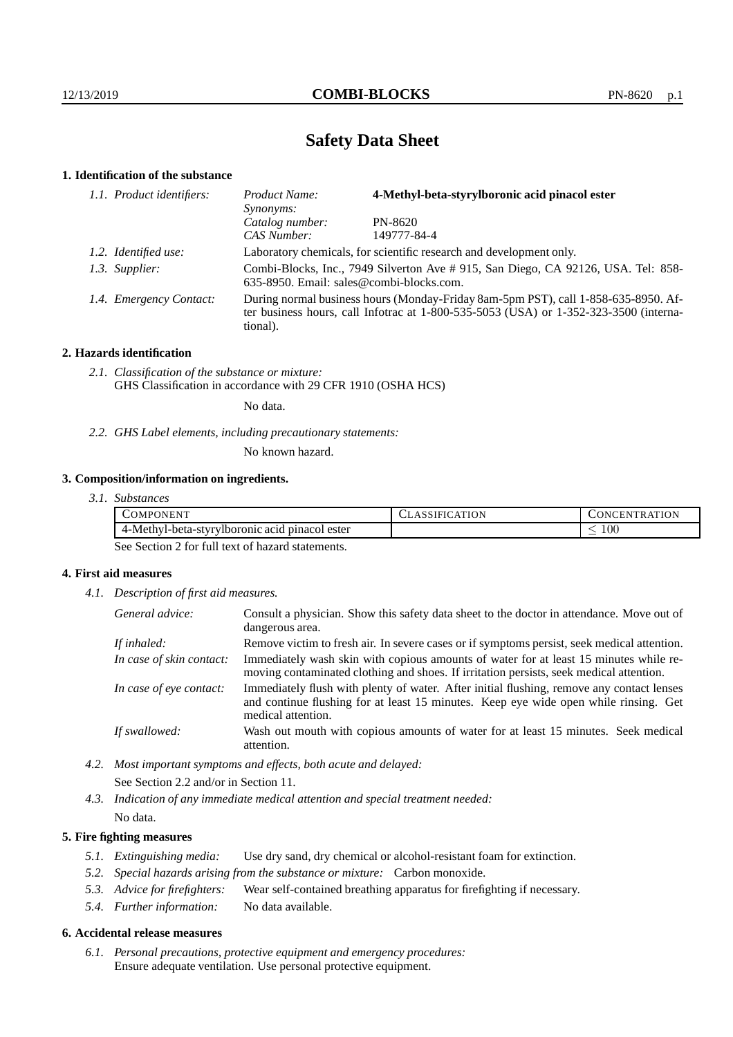# **Safety Data Sheet**

# **1. Identification of the substance**

| 1.1. Product identifiers: | Product Name:<br>Synonyms:                                                                                                                                                              | 4-Methyl-beta-styrylboronic acid pinacol ester |  |
|---------------------------|-----------------------------------------------------------------------------------------------------------------------------------------------------------------------------------------|------------------------------------------------|--|
|                           | Catalog number:                                                                                                                                                                         | PN-8620                                        |  |
|                           | CAS Number:                                                                                                                                                                             | 149777-84-4                                    |  |
| 1.2. Identified use:      | Laboratory chemicals, for scientific research and development only.                                                                                                                     |                                                |  |
| 1.3. Supplier:            | Combi-Blocks, Inc., 7949 Silverton Ave # 915, San Diego, CA 92126, USA. Tel: 858-<br>635-8950. Email: sales@combi-blocks.com.                                                           |                                                |  |
| 1.4. Emergency Contact:   | During normal business hours (Monday-Friday 8am-5pm PST), call 1-858-635-8950. Af-<br>ter business hours, call Infotrac at 1-800-535-5053 (USA) or 1-352-323-3500 (interna-<br>tional). |                                                |  |

## **2. Hazards identification**

*2.1. Classification of the substance or mixture:* GHS Classification in accordance with 29 CFR 1910 (OSHA HCS)

No data.

*2.2. GHS Label elements, including precautionary statements:*

No known hazard.

# **3. Composition/information on ingredients.**

*3.1. Substances*

| COMPONENT                                        | ATION<br>ULASSIFIU. | <b>TION</b><br>TR AT<br>ЛEN<br>$\cup$ ON' $\cap$ |
|--------------------------------------------------|---------------------|--------------------------------------------------|
| -Methyl-beta-styrylboronic acid<br>pinacol ester |                     | $100\,$<br>_                                     |

See Section 2 for full text of hazard statements.

## **4. First aid measures**

*4.1. Description of first aid measures.*

| General advice:          | Consult a physician. Show this safety data sheet to the doctor in attendance. Move out of<br>dangerous area.                                                                                            |
|--------------------------|---------------------------------------------------------------------------------------------------------------------------------------------------------------------------------------------------------|
| If inhaled:              | Remove victim to fresh air. In severe cases or if symptoms persist, seek medical attention.                                                                                                             |
| In case of skin contact: | Immediately wash skin with copious amounts of water for at least 15 minutes while re-<br>moving contaminated clothing and shoes. If irritation persists, seek medical attention.                        |
| In case of eye contact:  | Immediately flush with plenty of water. After initial flushing, remove any contact lenses<br>and continue flushing for at least 15 minutes. Keep eye wide open while rinsing. Get<br>medical attention. |
| If swallowed:            | Wash out mouth with copious amounts of water for at least 15 minutes. Seek medical<br>attention.                                                                                                        |

*4.2. Most important symptoms and effects, both acute and delayed:* See Section 2.2 and/or in Section 11.

*4.3. Indication of any immediate medical attention and special treatment needed:* No data.

### **5. Fire fighting measures**

- *5.1. Extinguishing media:* Use dry sand, dry chemical or alcohol-resistant foam for extinction.
- *5.2. Special hazards arising from the substance or mixture:* Carbon monoxide.
- *5.3. Advice for firefighters:* Wear self-contained breathing apparatus for firefighting if necessary.
- *5.4. Further information:* No data available.

#### **6. Accidental release measures**

*6.1. Personal precautions, protective equipment and emergency procedures:* Ensure adequate ventilation. Use personal protective equipment.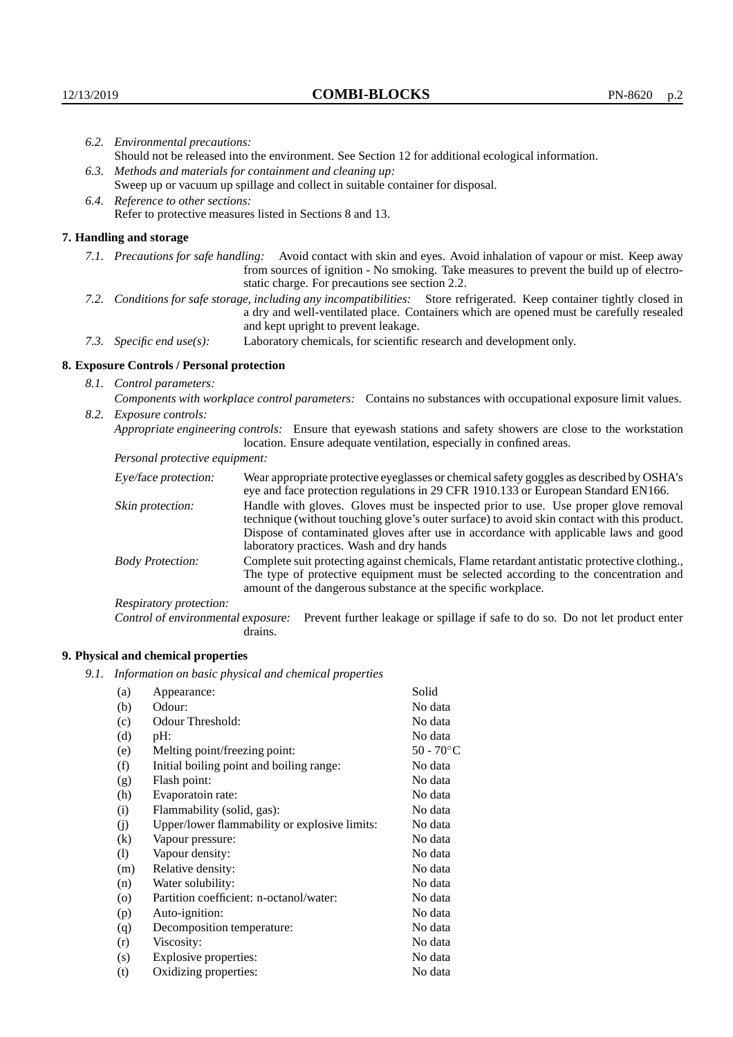| 6.2. Environmental precautions:                                                                                                                                                                                                                            |                                                                                                                                                                                                                                                                            |  |  |
|------------------------------------------------------------------------------------------------------------------------------------------------------------------------------------------------------------------------------------------------------------|----------------------------------------------------------------------------------------------------------------------------------------------------------------------------------------------------------------------------------------------------------------------------|--|--|
| Should not be released into the environment. See Section 12 for additional ecological information.                                                                                                                                                         |                                                                                                                                                                                                                                                                            |  |  |
| 6.3. Methods and materials for containment and cleaning up:                                                                                                                                                                                                |                                                                                                                                                                                                                                                                            |  |  |
| Sweep up or vacuum up spillage and collect in suitable container for disposal.                                                                                                                                                                             |                                                                                                                                                                                                                                                                            |  |  |
| 6.4. Reference to other sections:                                                                                                                                                                                                                          |                                                                                                                                                                                                                                                                            |  |  |
|                                                                                                                                                                                                                                                            | Refer to protective measures listed in Sections 8 and 13.                                                                                                                                                                                                                  |  |  |
| 7. Handling and storage                                                                                                                                                                                                                                    |                                                                                                                                                                                                                                                                            |  |  |
|                                                                                                                                                                                                                                                            | 7.1. Precautions for safe handling: Avoid contact with skin and eyes. Avoid inhalation of vapour or mist. Keep away<br>from sources of ignition - No smoking. Take measures to prevent the build up of electro-<br>static charge. For precautions see section 2.2.         |  |  |
| 7.2. Conditions for safe storage, including any incompatibilities: Store refrigerated. Keep container tightly closed in<br>a dry and well-ventilated place. Containers which are opened must be carefully resealed<br>and kept upright to prevent leakage. |                                                                                                                                                                                                                                                                            |  |  |
| 7.3. Specific end use(s):                                                                                                                                                                                                                                  | Laboratory chemicals, for scientific research and development only.                                                                                                                                                                                                        |  |  |
| 8. Exposure Controls / Personal protection                                                                                                                                                                                                                 |                                                                                                                                                                                                                                                                            |  |  |
| 8.1. Control parameters:                                                                                                                                                                                                                                   |                                                                                                                                                                                                                                                                            |  |  |
|                                                                                                                                                                                                                                                            | Components with workplace control parameters: Contains no substances with occupational exposure limit values.                                                                                                                                                              |  |  |
| 8.2. Exposure controls:                                                                                                                                                                                                                                    |                                                                                                                                                                                                                                                                            |  |  |
| Appropriate engineering controls: Ensure that eyewash stations and safety showers are close to the workstation<br>location. Ensure adequate ventilation, especially in confined areas.                                                                     |                                                                                                                                                                                                                                                                            |  |  |
| Personal protective equipment:                                                                                                                                                                                                                             |                                                                                                                                                                                                                                                                            |  |  |
| Eye/face protection:                                                                                                                                                                                                                                       | Wear appropriate protective eyeglasses or chemical safety goggles as described by OSHA's<br>eye and face protection regulations in 29 CFR 1910.133 or European Standard EN166.                                                                                             |  |  |
| Skin protection:                                                                                                                                                                                                                                           | Handle with gloves. Gloves must be inspected prior to use. Use proper glove removal<br>technique (without touching glove's outer surface) to avoid skin contact with this product.<br>Dispose of contaminated gloves after use in accordance with applicable laws and good |  |  |

laboratory practices. Wash and dry hands Body Protection: Complete suit protecting against chemicals, Flame retardant antistatic protective clothing., The type of protective equipment must be selected according to the concentration and amount of the dangerous substance at the specific workplace.

Respiratory protection:

Control of environmental exposure: Prevent further leakage or spillage if safe to do so. Do not let product enter drains.

# **9. Physical and chemical properties**

*9.1. Information on basic physical and chemical properties*

| (a)                | Appearance:                                   | Solid               |
|--------------------|-----------------------------------------------|---------------------|
| (b)                | Odour:                                        | No data             |
| (c)                | Odour Threshold:                              | No data             |
| (d)                | pH:                                           | No data             |
| (e)                | Melting point/freezing point:                 | 50 - $70^{\circ}$ C |
| (f)                | Initial boiling point and boiling range:      | No data             |
| (g)                | Flash point:                                  | No data             |
| (h)                | Evaporatoin rate:                             | No data             |
| (i)                | Flammability (solid, gas):                    | No data             |
| (j)                | Upper/lower flammability or explosive limits: | No data             |
| $\rm(k)$           | Vapour pressure:                              | No data             |
| (1)                | Vapour density:                               | No data             |
| (m)                | Relative density:                             | No data             |
| (n)                | Water solubility:                             | No data             |
| $\left( 0 \right)$ | Partition coefficient: n-octanol/water:       | No data             |
| (p)                | Auto-ignition:                                | No data             |
| (q)                | Decomposition temperature:                    | No data             |
| (r)                | Viscosity:                                    | No data             |
| (s)                | Explosive properties:                         | No data             |
| (t)                | Oxidizing properties:                         | No data             |
|                    |                                               |                     |